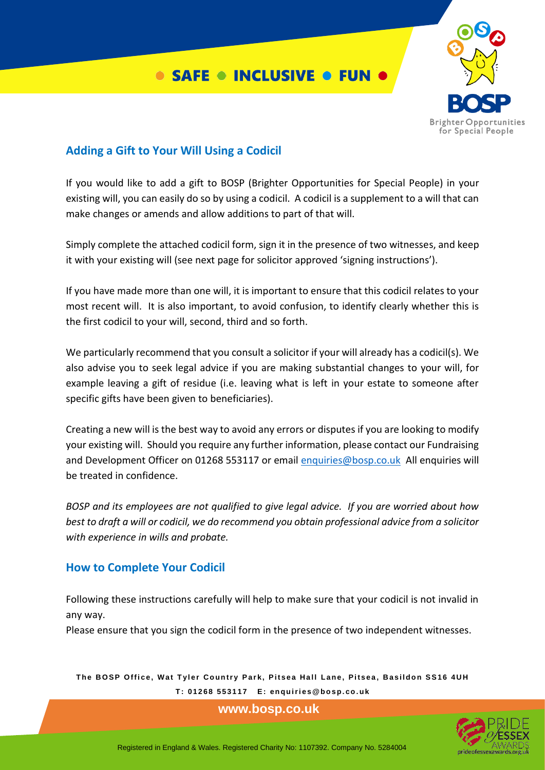# ● SAFE ● INCLUSIVE ● FUN



### **Adding a Gift to Your Will Using a Codicil**

If you would like to add a gift to BOSP (Brighter Opportunities for Special People) in your existing will, you can easily do so by using a codicil. A codicil is a supplement to a will that can make changes or amends and allow additions to part of that will.

Simply complete the attached codicil form, sign it in the presence of two witnesses, and keep it with your existing will (see next page for solicitor approved 'signing instructions').

If you have made more than one will, it is important to ensure that this codicil relates to your most recent will. It is also important, to avoid confusion, to identify clearly whether this is the first codicil to your will, second, third and so forth.

We particularly recommend that you consult a solicitor if your will already has a codicil(s). We also advise you to seek legal advice if you are making substantial changes to your will, for example leaving a gift of residue (i.e. leaving what is left in your estate to someone after specific gifts have been given to beneficiaries).

Creating a new will is the best way to avoid any errors or disputes if you are looking to modify your existing will. Should you require any further information, please contact our Fundraising and Development Officer on 01268 553117 or email [enquiries@bosp.co.uk](mailto:enquiries@bosp.co.uk) All enquiries will be treated in confidence.

*BOSP and its employees are not qualified to give legal advice. If you are worried about how best to draft a will or codicil, we do recommend you obtain professional advice from a solicitor with experience in wills and probate.*

#### **How to Complete Your Codicil**

Following these instructions carefully will help to make sure that your codicil is not invalid in any way.

Please ensure that you sign the codicil form in the presence of two independent witnesses.

The BOSP Office, Wat Tyler Country Park, Pitsea Hall Lane, Pitsea, Basildon SS16 4UH **T : 0 1268 553117 E : [en qu i r i e s @ bo s p . co . u k](mailto:enquiries@bosp.co.uk)**

 **[www.bosp.co.uk](http://www.bosp.co.uk/)**